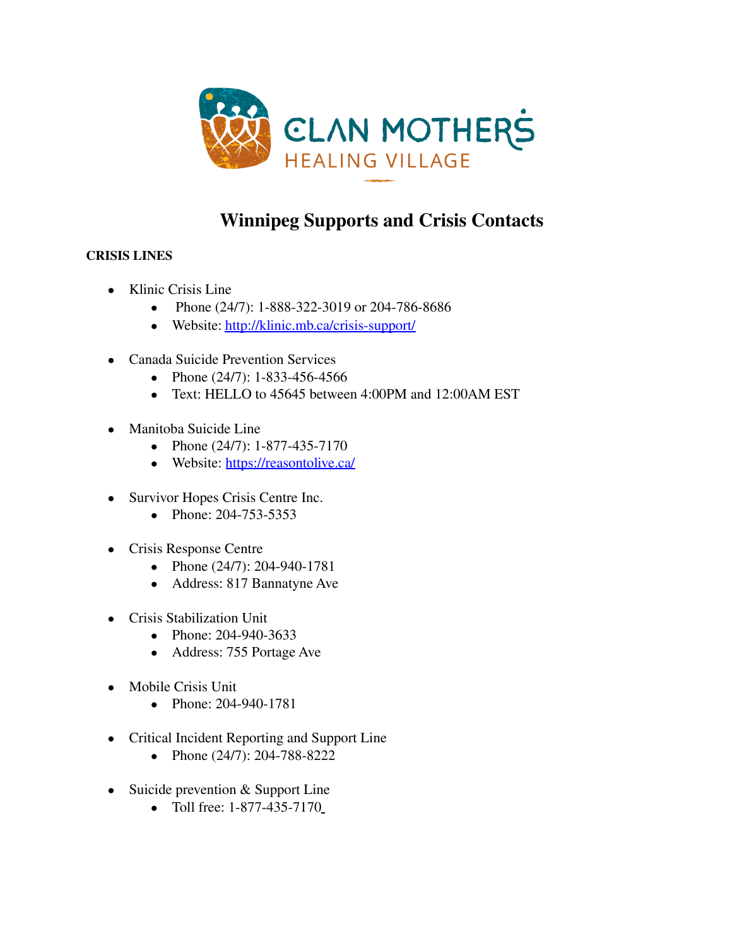

# **Winnipeg Supports and Crisis Contacts**

## **CRISIS LINES**

- Klinic Crisis Line
	- Phone (24/7): 1-888-322-3019 or 204-786-8686
	- Website: <http://klinic.mb.ca/crisis-support/>
- **●** Canada Suicide Prevention Services
	- Phone (24/7): 1-833-456-4566
	- Text: HELLO to 45645 between 4:00PM and 12:00AM EST
- **●** Manitoba Suicide Line
	- Phone (24/7): 1-877-435-7170
	- Website: <https://reasontolive.ca/>
- **●** Survivor Hopes Crisis Centre Inc.
	- Phone: 204-753-5353
- **●** Crisis Response Centre
	- Phone (24/7): [204-940-1781](tel:%20204-940-1781)
	- Address: 817 Bannatyne Ave
- **●** Crisis Stabilization Unit
	- Phone: [204-940-3633](tel:+12049403633)
	- Address: 755 Portage Ave
- **●** Mobile Crisis Unit
	- Phone: [204-940-1781](tel:+12049401781)
- **●** Critical Incident Reporting and Support Line
	- Phone (24/7): 204-788-8222
- **●** Suicide prevention & Support Line
	- Toll free: 1-877-435-7170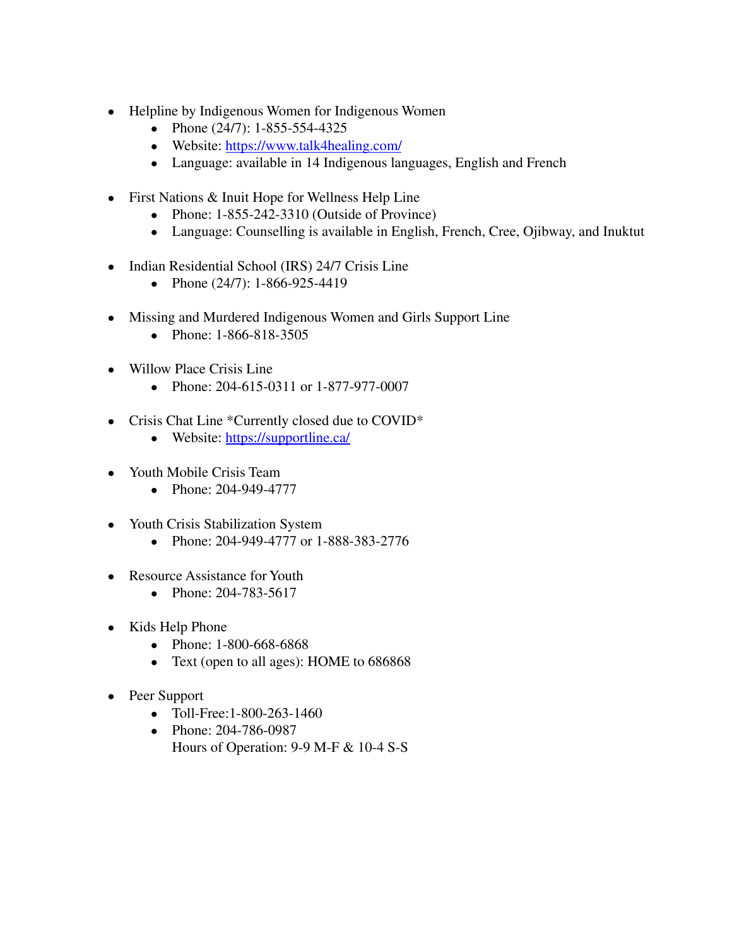- **●** Helpline by Indigenous Women for Indigenous Women
	- Phone  $(24/7)$ : 1-855-554-4325
	- Website: <https://www.talk4healing.com/>
	- Language: available in 14 Indigenous languages, English and French
- **●** First Nations & Inuit Hope for Wellness Help Line
	- Phone: [1-855-242-3310](tel:%201-855-242-3310) (Outside of Province)
	- Language: Counselling is available in English, French, Cree, Ojibway, and Inuktut
- **●** Indian Residential School (IRS) 24/7 Crisis Line
	- Phone  $(24/7)$ : 1-866-925-4419
- **●** Missing and Murdered Indigenous Women and Girls Support Line
	- Phone: 1-866-818-3505
- **●** Willow Place Crisis Line
	- Phone: 204-615-0311 or [1-877-977-0007](Tel:%201-877-977-0007)
- **●** Crisis Chat Line \*Currently closed due to COVID\*
	- Website: <https://supportline.ca/>
- **●** Youth Mobile Crisis Team
	- Phone: 204-949-4777
- **●** Youth Crisis Stabilization System
	- Phone: 204-949-4777 or 1-888-383-2776
- **●** Resource Assistance for Youth
	- Phone: 204-783-5617
- **●** Kids Help Phone
	- Phone: 1-800-668-6868
	- Text (open to all ages): HOME to 686868
- **●** Peer Support
	- Toll-Free:[1-800-263-1460](tel:1-800-263-1460)
	- Phone: 204-786-0987 Hours of Operation: 9-9 M-F & 10-4 S-S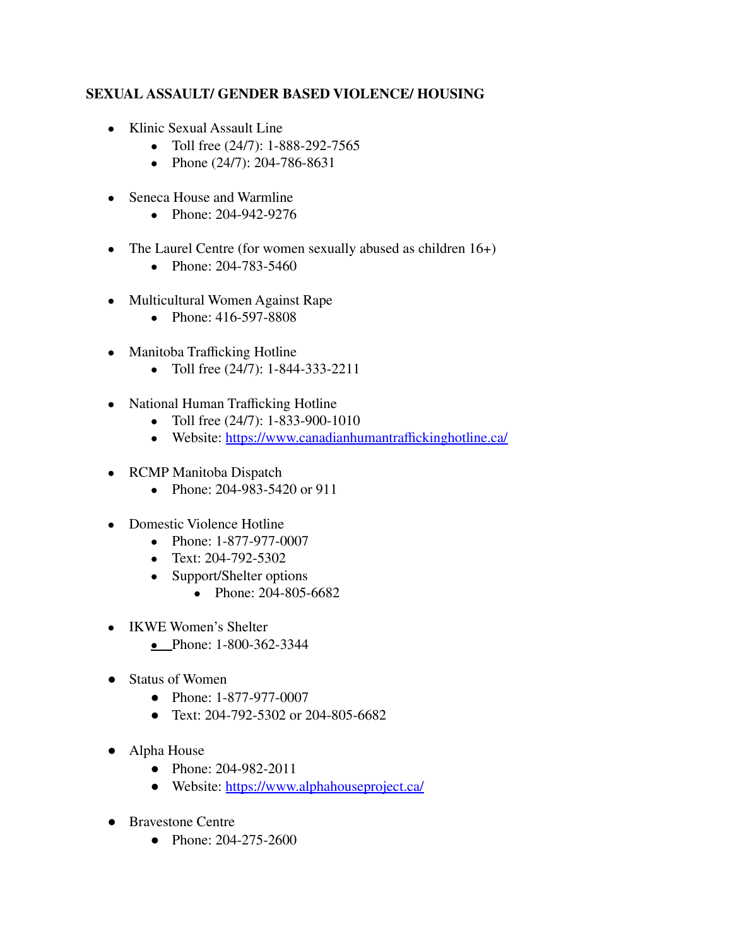#### **SEXUAL ASSAULT/ GENDER BASED VIOLENCE/ HOUSING**

- **●** Klinic Sexual Assault Line
	- Toll free (24/7): 1-888-292-7565
	- Phone (24/7): [204-786-8631](tel:+12047868631)
- **●** Seneca House and Warmline
	- **●** Phone: 204-942-9276
- **●** The Laurel Centre (for women sexually abused as children 16+)
	- Phone: 204-783-5460
- **●** Multicultural Women Against Rape
	- Phone: 416-597-8808
- **●** Manitoba Trafficking Hotline
	- Toll free (24/7): 1-844-333-2211
- **●** National Human Trafficking Hotline
	- Toll free (24/7): 1-833-900-1010
	- Website: <https://www.canadianhumantraffickinghotline.ca/>
- **●** RCMP Manitoba Dispatch
	- Phone: 204-983-5420 or 911
- **●** Domestic Violence Hotline
	- Phone: 1-877-977-0007
	- Text: 204-792-5302
	- Support/Shelter options
		- Phone: 204-805-6682
- **●** IKWE Women's Shelter
	- Phone: 1-800-362-3344
- **●** Status of Women
	- Phone: 1-877-977-0007
	- Text: 204-792-5302 or 204-805-6682
- **●** Alpha House
	- Phone: 204-982-2011
	- Website: <https://www.alphahouseproject.ca/>
- **●** Bravestone Centre
	- Phone: 204-275-2600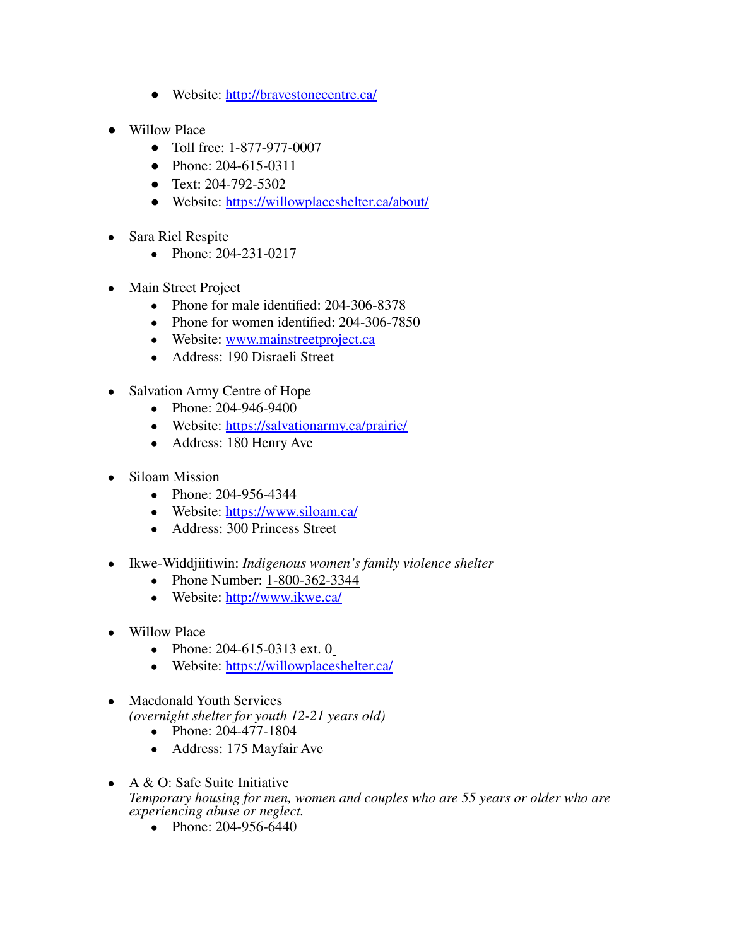- Website: <http://bravestonecentre.ca/>
- **●** Willow Place
	- Toll free: 1-877-977-0007
	- Phone: 204-615-0311
	- Text: 204-792-5302
	- Website: <https://willowplaceshelter.ca/about/>
- **●** Sara Riel Respite
	- Phone: 204-231-0217
- **●** Main Street Project
	- Phone for male identified: 204-306-8378
	- Phone for women identified: 204-306-7850
	- Website: [www.mainstreetproject.ca](https://www.mainstreetproject.ca)
	- Address: 190 Disraeli Street
- **●** Salvation Army Centre of Hope
	- Phone: 204-946-9400
		- Website: <https://salvationarmy.ca/prairie/>
		- Address: 180 Henry Ave
- **●** Siloam Mission
	- Phone: 204-956-4344
	- Website: <https://www.siloam.ca/>
	- Address: 300 Princess Street
- **●** Ikwe-Widdjiitiwin: *Indigenous women's family violence shelter*
	- Phone Number: 1-800-362-3344
	- Website: <http://www.ikwe.ca/>
- **Willow Place** 
	- Phone: 204-615-0313 ext. 0
	- Website: <https://willowplaceshelter.ca/>
- **●** Macdonald Youth Services *(overnight shelter for youth 12-21 years old)*
	- Phone: 204-477-1804
	- Address: 175 Mayfair Ave
- **●** A & O: Safe Suite Initiative *Temporary housing for men, women and couples who are 55 years or older who are experiencing abuse or neglect.*
	- Phone: 204-956-6440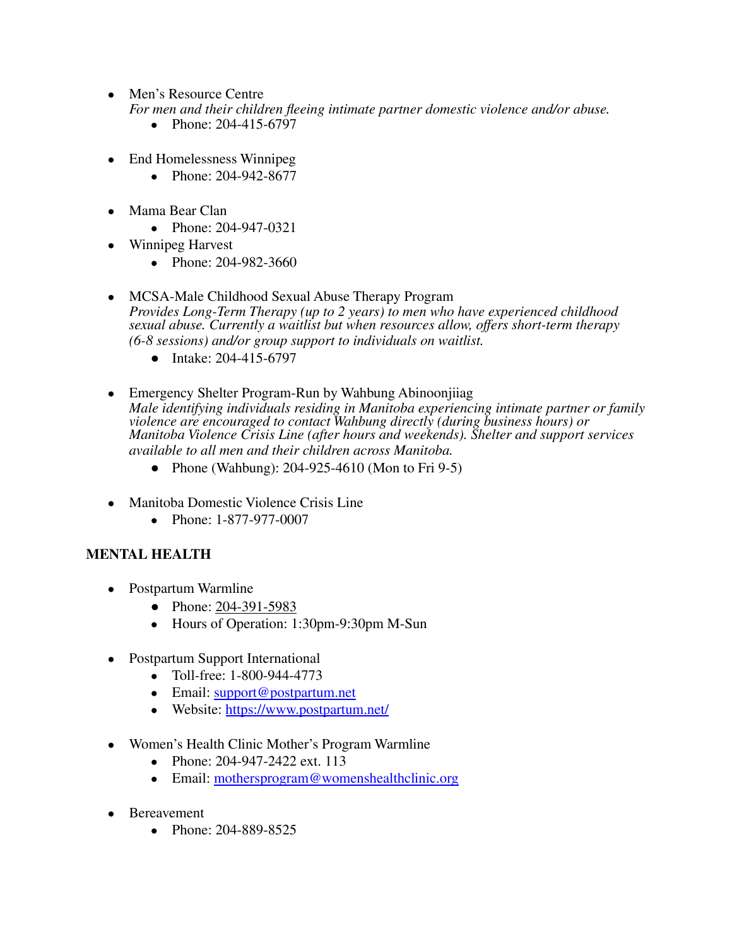- **●** Men's Resource Centre *For men and their children fleeing intimate partner domestic violence and/or abuse.*
	- Phone: 204-415-6797
- **●** End Homelessness Winnipeg
	- Phone: 204-942-8677
- **●** Mama Bear Clan
	- Phone: 204-947-0321
- **●** Winnipeg Harvest
	- **●** Phone: 204-982-3660
- **●** MCSA-Male Childhood Sexual Abuse Therapy Program *Provides Long-Term Therapy (up to 2 years) to men who have experienced childhood sexual abuse. Currently a waitlist but when resources allow, offers short-term therapy (6-8 sessions) and/or group support to individuals on waitlist.*
	- Intake: 204-415-6797
- **●** Emergency Shelter Program-Run by Wahbung Abinoonjiiag *Male identifying individuals residing in Manitoba experiencing intimate partner or family violence are encouraged to contact Wahbung directly (during business hours) or Manitoba Violence Crisis Line (after hours and weekends). Shelter and support services available to all men and their children across Manitoba.*
	- Phone (Wahbung): 204-925-4610 (Mon to Fri 9-5)
- **●** Manitoba Domestic Violence Crisis Line
	- Phone: 1-877-977-0007

## **MENTAL HEALTH**

- **●** Postpartum Warmline
	- Phone: [204-391-5983](tel:204-391-5983)
	- **●** Hours of Operation: 1:30pm-9:30pm M-Sun
- **●** Postpartum Support International
	- **●** Toll-free: 1-800-944-4773
	- **●** Email: [support@postpartum.net](mailto:support@postpartum.net)
	- **●** Website: <https://www.postpartum.net/>
- **●** Women's Health Clinic Mother's Program Warmline
	- **●** Phone: 204-947-2422 ext. 113
	- **●** Email: [mothersprogram@womenshealthclinic.org](mailto:mothersprogram@womenshealthclinic.org)
- **●** Bereavement
	- **●** Phone: 204-889-8525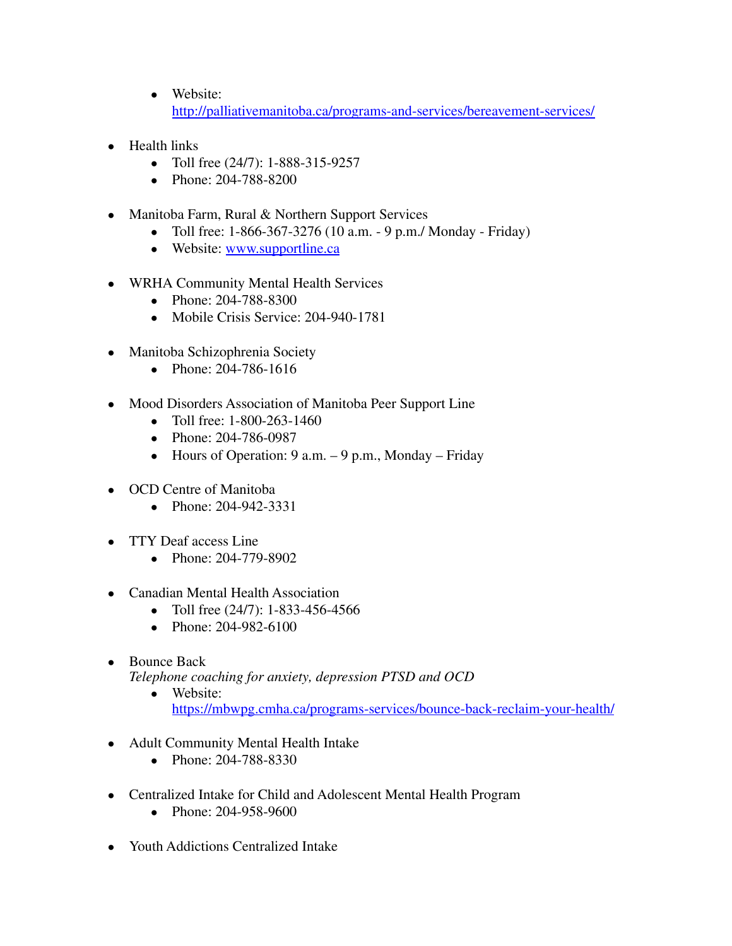- **●** Website: <http://palliativemanitoba.ca/programs-and-services/bereavement-services/>
- **●** Health links
	- **●** Toll free (24/7): 1-888-315-9257
	- **●** Phone: [204-788-8200](tel:204-788-8200)
- **●** Manitoba Farm, Rural & Northern Support Services
	- **●** Toll free: 1-866-367-3276 (10 a.m. 9 p.m./ Monday Friday)
	- **●** Website: [www.supportline.ca](http://www.supportline.ca)
- **●** WRHA Community Mental Health Services
	- **●** Phone: 204-788-8300
	- **●** Mobile Crisis Service: 204-940-1781
- **●** Manitoba Schizophrenia Society
	- **●** Phone: 204-786-1616
- **●** Mood Disorders Association of Manitoba Peer Support Line
	- **●** Toll free: 1-800-263-1460
	- **●** Phone: [204-786-0987](tel:1-204-786-0987)
	- **●** Hours of Operation: 9 a.m. 9 p.m., Monday Friday
- **●** OCD Centre of Manitoba
	- **●** Phone: 204-942-3331
- **●** TTY Deaf access Line
	- **●** Phone: 204-779-8902
- **●** Canadian Mental Health Association
	- **●** Toll free (24/7): 1-833-456-4566
	- **●** Phone: 204-982-6100
- **●** Bounce Back
	- *Telephone coaching for anxiety, depression PTSD and OCD*
		- **●** Website: <https://mbwpg.cmha.ca/programs-services/bounce-back-reclaim-your-health/>
- **●** Adult Community Mental Health Intake
	- **●** Phone: 204-788-8330
- **●** Centralized Intake for Child and Adolescent Mental Health Program
	- **●** Phone: 204-958-9600
- **●** Youth Addictions Centralized Intake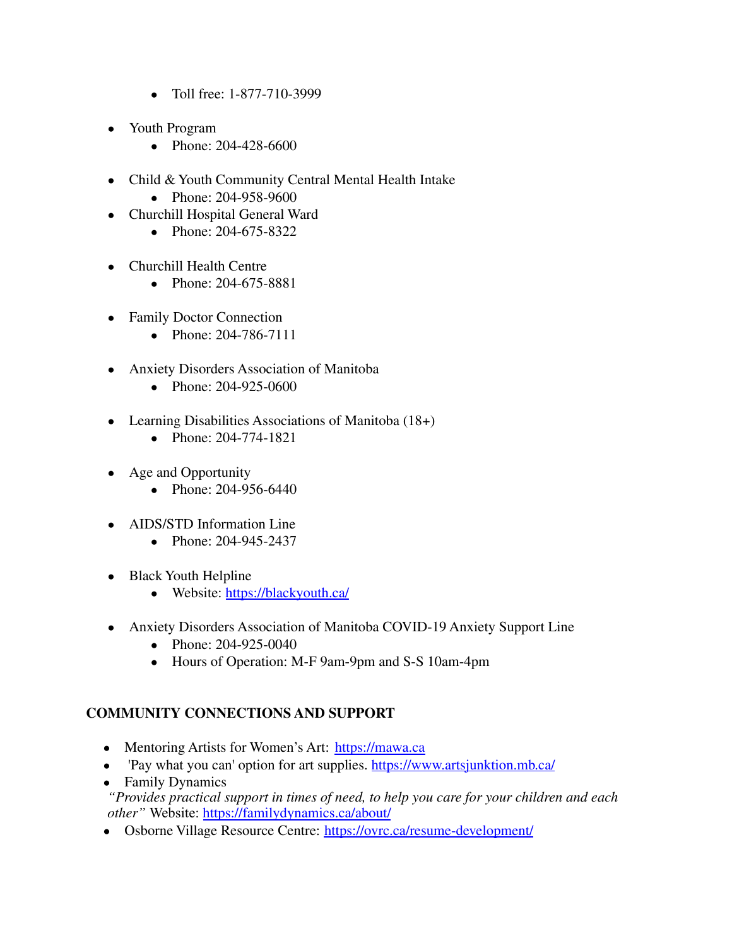- **●** Toll free: 1-877-710-3999
- **●** Youth Program
	- **●** Phone: 204-428-6600
- **●** Child & Youth Community Central Mental Health Intake
	- **●** Phone: 204-958-9600
- **●** Churchill Hospital General Ward
	- **●** Phone: 204-675-8322
- **●** Churchill Health Centre
	- **●** Phone: 204-675-8881
- **●** Family Doctor Connection
	- **●** Phone: 204-786-7111
- **●** Anxiety Disorders Association of Manitoba
	- **●** Phone: 204-925-0600
- **●** Learning Disabilities Associations of Manitoba (18+)
	- **●** Phone: 204-774-1821
- **●** Age and Opportunity
	- **●** Phone: 204-956-6440
- **●** AIDS/STD Information Line
	- **●** Phone: 204-945-2437
- **●** Black Youth Helpline
	- **●** Website: <https://blackyouth.ca/>
- **●** Anxiety Disorders Association of Manitoba COVID-19 Anxiety Support Line
	- **●** Phone: 204-925-0040
	- **●** Hours of Operation: M-F 9am-9pm and S-S 10am-4pm

## **COMMUNITY CONNECTIONS AND SUPPORT**

- Mentoring Artists for Women's Art: <https://mawa.ca>
- 'Pay what you can' option for art supplies. <https://www.artsjunktion.mb.ca/>
- Family Dynamics

*"Provides practical support in times of need, to help you care for your children and each other"* Website: <https://familydynamics.ca/about/>

• Osborne Village Resource Centre: <https://ovrc.ca/resume-development/>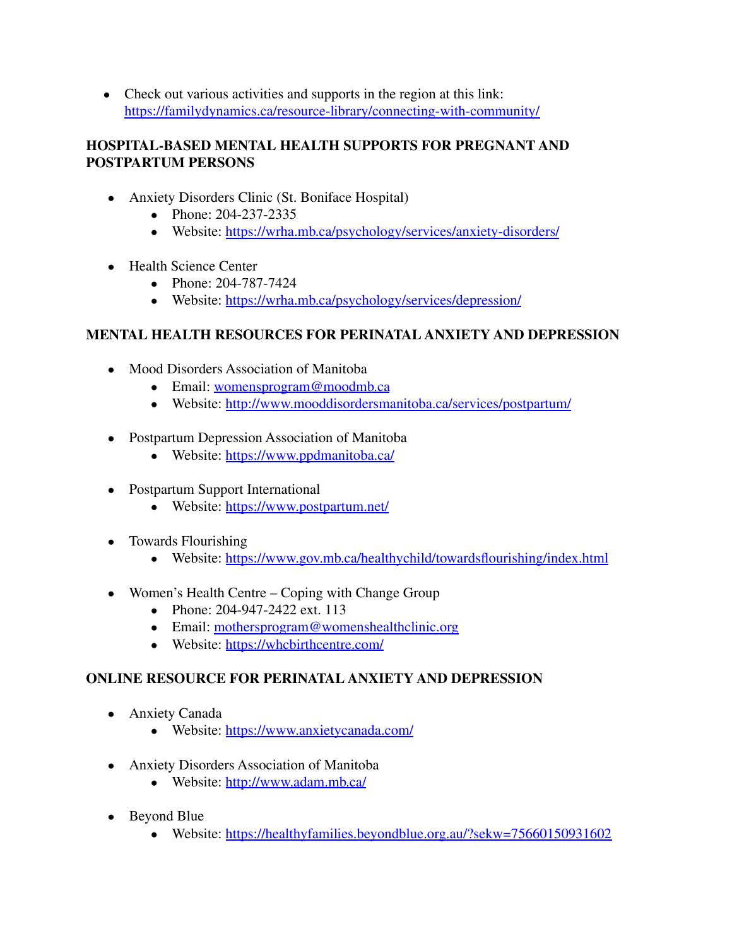• Check out various activities and supports in the region at this link: <https://familydynamics.ca/resource-library/connecting-with-community/>

## **HOSPITAL-BASED MENTAL HEALTH SUPPORTS FOR PREGNANT AND POSTPARTUM PERSONS**

- Anxiety Disorders Clinic (St. Boniface Hospital)
	- Phone: 204-237-2335
	- Website: <https://wrha.mb.ca/psychology/services/anxiety-disorders/>
- Health Science Center
	- Phone: 204-787-7424
	- Website: <https://wrha.mb.ca/psychology/services/depression/>

# **MENTAL HEALTH RESOURCES FOR PERINATAL ANXIETY AND DEPRESSION**

- Mood Disorders Association of Manitoba
	- Email: [womensprogram@moodmb.ca](mailto:womensprogram@moodmb.ca)
	- Website: <http://www.mooddisordersmanitoba.ca/services/postpartum/>
- Postpartum Depression Association of Manitoba
	- Website: <https://www.ppdmanitoba.ca/>
- Postpartum Support International
	- Website: <https://www.postpartum.net/>
- Towards Flourishing
	- Website: <https://www.gov.mb.ca/healthychild/towardsflourishing/index.html>
- Women's Health Centre Coping with Change Group
	- Phone: 204-947-2422 ext. 113
	- Email: [mothersprogram@womenshealthclinic.org](mailto:mothersprogram@womenshealthclinic.org)
	- Website: <https://whcbirthcentre.com/>

## **ONLINE RESOURCE FOR PERINATAL ANXIETY AND DEPRESSION**

- Anxiety Canada
	- Website: <https://www.anxietycanada.com/>
- Anxiety Disorders Association of Manitoba
	- Website: <http://www.adam.mb.ca/>
- Beyond Blue
	- Website: <https://healthyfamilies.beyondblue.org.au/?sekw=75660150931602>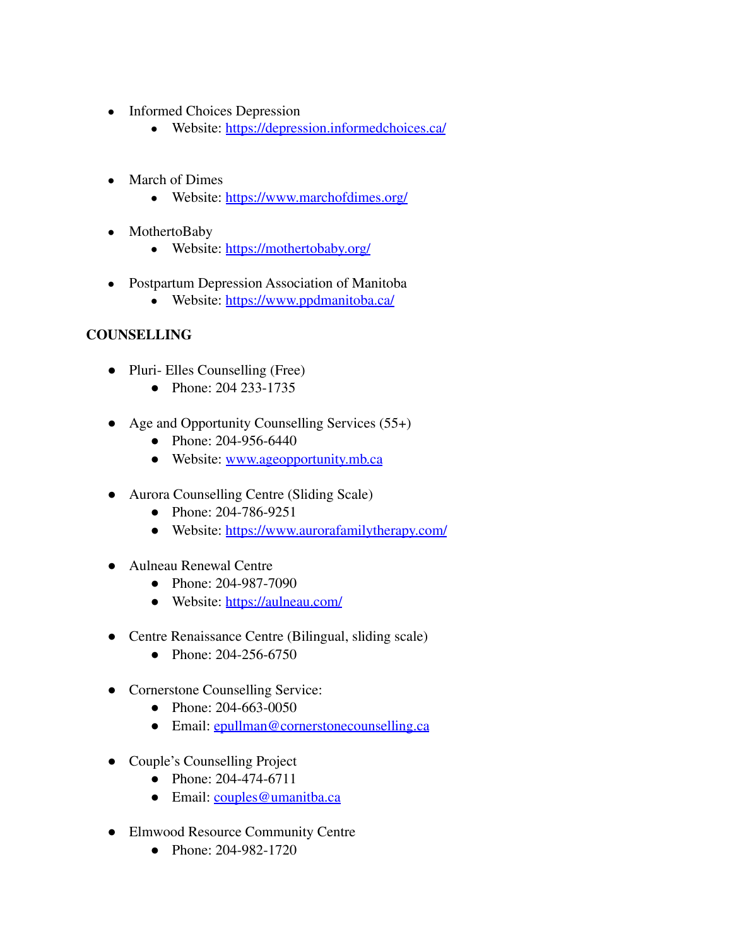- Informed Choices Depression
	- Website: <https://depression.informedchoices.ca/>
- March of Dimes
	- Website: <https://www.marchofdimes.org/>
- MothertoBaby
	- Website: <https://mothertobaby.org/>
- Postpartum Depression Association of Manitoba
	- Website: <https://www.ppdmanitoba.ca/>

## **COUNSELLING**

- **●** Pluri- Elles Counselling (Free)
	- **●** Phone: 204 233-1735
- **●** Age and Opportunity Counselling Services (55+)
	- **●** Phone: 204-956-6440
	- **●** Website: [www.ageopportunity.mb.ca](http://www.ageopportunity.mb.ca)
- **●** Aurora Counselling Centre (Sliding Scale)
	- **●** Phone: 204-786-9251
	- **●** Website: <https://www.aurorafamilytherapy.com/>
- **●** Aulneau Renewal Centre
	- **●** Phone: 204-987-7090
	- **●** Website: <https://aulneau.com/>
- **●** Centre Renaissance Centre (Bilingual, sliding scale)
	- **●** Phone: 204-256-6750
- **●** Cornerstone Counselling Service:
	- **●** Phone: 204-663-0050
	- **●** Email: [epullman@cornerstonecounselling.ca](mailto:epullman@cornerstonecounselling.ca)
- **●** Couple's Counselling Project
	- **●** Phone: 204-474-6711
	- **●** Email: [couples@umanitba.ca](mailto:couples@umanitba.ca)
- **●** Elmwood Resource Community Centre
	- **●** Phone: 204-982-1720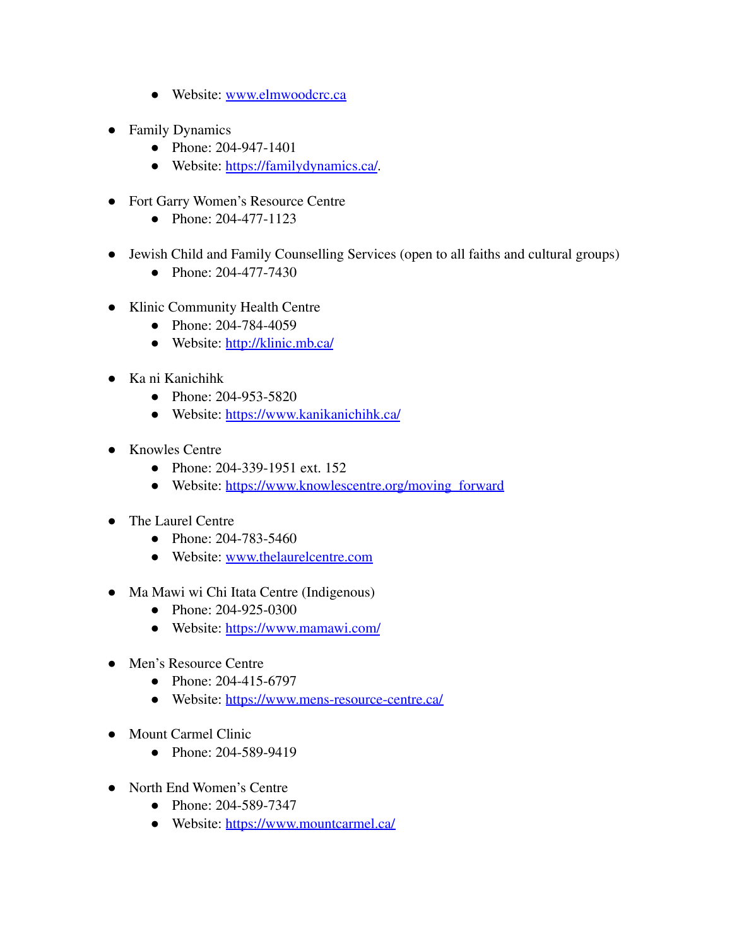- **●** Website: [www.elmwoodcrc.ca](http://www.elmwoodcrc.ca)
- **●** Family Dynamics
	- **●** Phone: 204-947-1401
	- **●** Website: <https://familydynamics.ca/>*.*
- **●** Fort Garry Women's Resource Centre
	- **●** Phone: 204-477-1123
- **●** Jewish Child and Family Counselling Services (open to all faiths and cultural groups)
	- **●** Phone: 204-477-7430
- **●** Klinic Community Health Centre
	- **●** Phone: 204-784-4059
	- **●** Website: <http://klinic.mb.ca/>
- **●** Ka ni Kanichihk
	- **●** Phone: 204-953-5820
	- **●** Website: <https://www.kanikanichihk.ca/>
- **●** Knowles Centre
	- **●** Phone: 204-339-1951 ext. 152
	- **●** Website: [https://www.knowlescentre.org/moving\\_forward](https://www.knowlescentre.org/moving_forward)
- **●** The Laurel Centre
	- **●** Phone: 204-783-5460
	- **●** Website: [www.thelaurelcentre.com](http://www.thelaurelcentre.com)
- **●** Ma Mawi wi Chi Itata Centre (Indigenous)
	- **●** Phone: 204-925-0300
	- **●** Website: <https://www.mamawi.com/>
- **●** Men's Resource Centre
	- **●** Phone: 204-415-6797
	- **●** Website: <https://www.mens-resource-centre.ca/>
- **●** Mount Carmel Clinic
	- **●** Phone: 204-589-9419
- **●** North End Women's Centre
	- **●** Phone: 204-589-7347
	- **●** Website: <https://www.mountcarmel.ca/>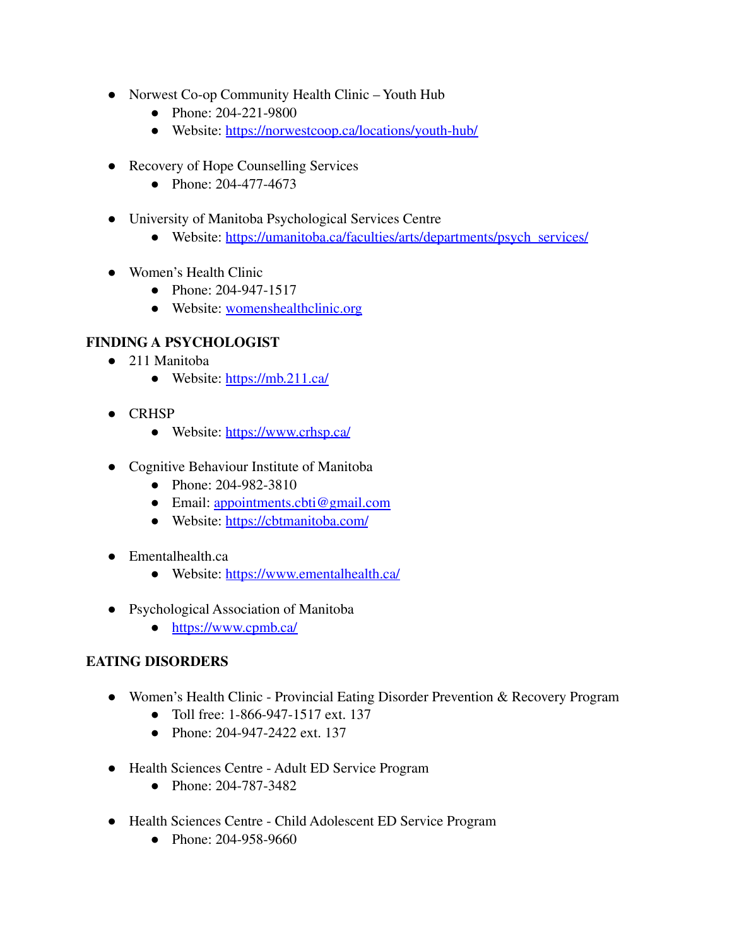- **●** Norwest Co-op Community Health Clinic Youth Hub
	- **●** Phone: 204-221-9800
	- **●** Website: [https://norwestcoop.ca/locations/youth-hub/](https://norwestcoop.ca/locations/youth-hub/%2520)
- **●** Recovery of Hope Counselling Services
	- **●** Phone: 204-477-4673
- **●** University of Manitoba Psychological Services Centre
	- **●** Website: [https://umanitoba.ca/faculties/arts/departments/psych\\_services/](https://umanitoba.ca/faculties/arts/departments/psych_services/)
- **●** Women's Health Clinic
	- **●** Phone: 204-947-1517
	- **●** Website: [womenshealthclinic.org](https://womenshealthclinic.org)

## **FINDING A PSYCHOLOGIST**

- 211 Manitoba
	- Website: <https://mb.211.ca/>
- CRHSP
	- Website: <https://www.crhsp.ca/>
- Cognitive Behaviour Institute of Manitoba
	- Phone: 204-982-3810
	- Email: [appointments.cbti@gmail.com](mailto:appointments.cbti@gmail.com)
	- Website: <https://cbtmanitoba.com/>
- Ementalhealth.ca
	- Website: <https://www.ementalhealth.ca/>
- Psychological Association of Manitoba
	- <https://www.cpmb.ca/>

## **EATING DISORDERS**

- Women's Health Clinic Provincial Eating Disorder Prevention & Recovery Program
	- Toll free: 1-866-947-1517 ext. 137
	- Phone: 204-947-2422 ext. 137
- Health Sciences Centre Adult ED Service Program
	- Phone: 204-787-3482
- Health Sciences Centre Child Adolescent ED Service Program
	- Phone: 204-958-9660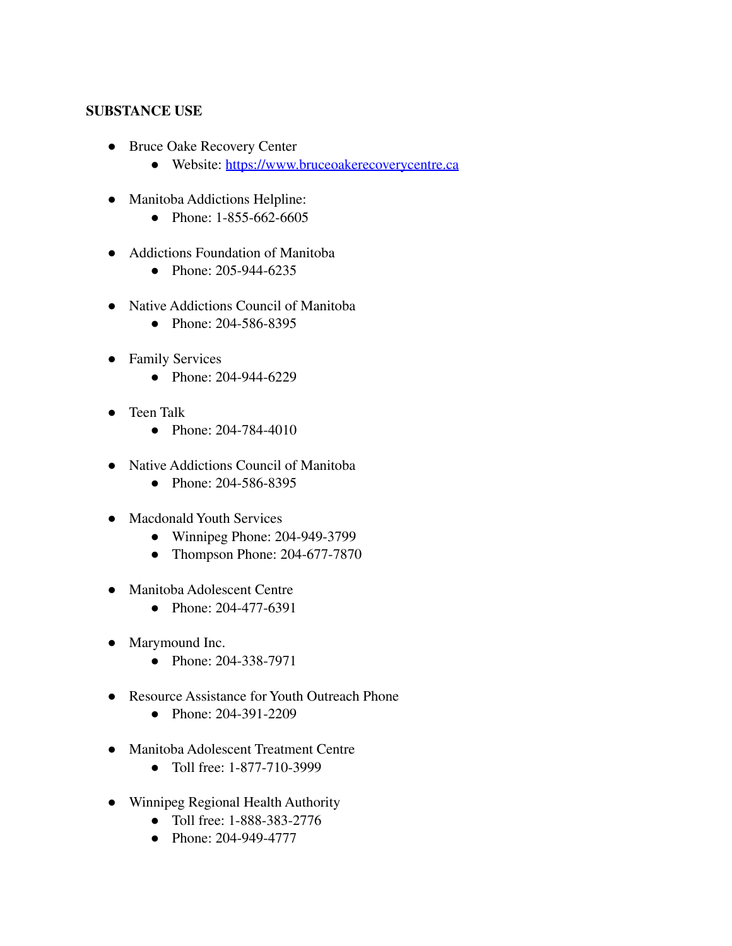#### **SUBSTANCE USE**

- Bruce Oake Recovery Center
	- Website: <https://www.bruceoakerecoverycentre.ca>
- Manitoba Addictions Helpline:
	- Phone: 1-855-662-6605
- Addictions Foundation of Manitoba
	- Phone: 205-944-6235
- Native Addictions Council of Manitoba
	- Phone: 204-586-8395
- Family Services
	- Phone: 204-944-6229
- Teen Talk
	- Phone: 204-784-4010
- Native Addictions Council of Manitoba
	- Phone: 204-586-8395
- Macdonald Youth Services
	- Winnipeg Phone: 204-949-3799
	- Thompson Phone: 204-677-7870
- Manitoba Adolescent Centre
	- Phone: 204-477-6391
- Marymound Inc.
	- Phone: 204-338-7971
- Resource Assistance for Youth Outreach Phone
	- Phone: 204-391-2209
- Manitoba Adolescent Treatment Centre
	- Toll free: 1-877-710-3999
- Winnipeg Regional Health Authority
	- Toll free: 1-888-383-2776
	- Phone: 204-949-4777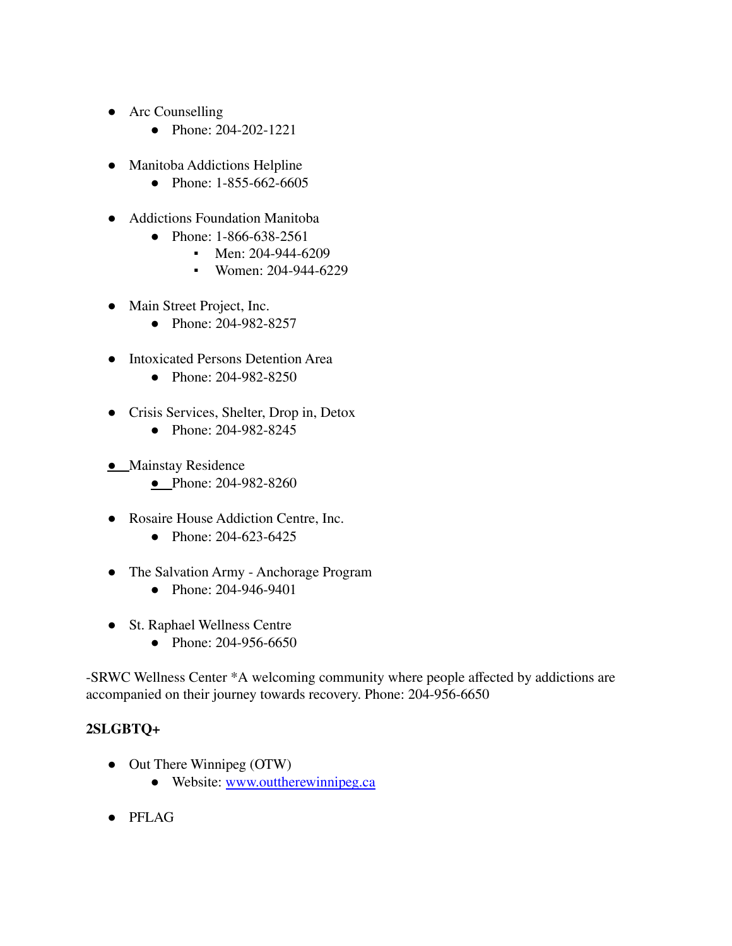- Arc Counselling
	- Phone: 204-202-1221
- Manitoba Addictions Helpline
	- Phone: 1-855-662-6605
- Addictions Foundation Manitoba
	- Phone: 1-866-638-2561
		- Men: 204-944-6209
		- Women: 204-944-6229
- Main Street Project, Inc.
	- Phone: 204-982-8257
- Intoxicated Persons Detention Area
	- Phone: 204-982-8250
- Crisis Services, Shelter, Drop in, Detox
	- Phone: 204-982-8245
- **•** Mainstay Residence
	- Phone: 204-982-8260
- Rosaire House Addiction Centre, Inc.
	- Phone: 204-623-6425
- The Salvation Army Anchorage Program
	- Phone: 204-946-9401
- St. Raphael Wellness Centre
	- Phone: 204-956-6650

-SRWC Wellness Center \*A welcoming community where people affected by addictions are accompanied on their journey towards recovery. Phone: 204-956-6650

#### **2SLGBTQ+**

- Out There Winnipeg (OTW)
	- Website: [www.outtherewinnipeg.ca](http://www.outtherewinnipeg.ca)
- PFLAG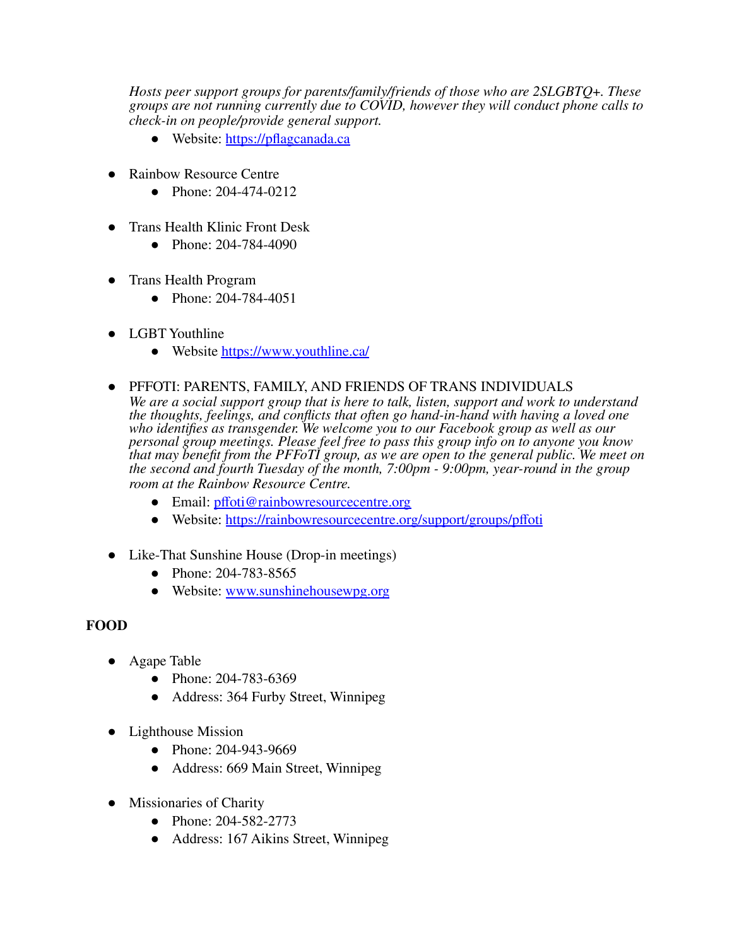*Hosts peer support groups for parents/family/friends of those who are 2SLGBTQ+. These groups are not running currently due to COVID, however they will conduct phone calls to check-in on people/provide general support.*

- Website: <https://pflagcanada.ca>
- **Rainbow Resource Centre** 
	- Phone: 204-474-0212
- Trans Health Klinic Front Desk
	- Phone: 204-784-4090
- Trans Health Program
	- Phone: 204-784-4051
- LGBT Youthline
	- Website <https://www.youthline.ca/>
- PFFOTI: PARENTS, FAMILY, AND FRIENDS OF TRANS INDIVIDUALS

*We are a social support group that is here to talk, listen, support and work to understand the thoughts, feelings, and conflicts that often go hand-in-hand with having a loved one who identifies as transgender. We welcome you to our Facebook group as well as our personal group meetings. Please feel free to pass this group info on to anyone you know that may benefit from the PFFoTI group, as we are open to the general public. We meet on the second and fourth Tuesday of the month, 7:00pm - 9:00pm, year-round in the group room at the Rainbow Resource Centre.*

- Email: [pffoti@rainbowresourcecentre.org](mailto:pffoti@rainbowresourcecentre.org)
- Website: <https://rainbowresourcecentre.org/support/groups/pffoti>
- Like-That Sunshine House (Drop-in meetings)
	- Phone: 204-783-8565
	- Website: [www.sunshinehousewpg.org](http://www.sunshinehousewpg.org)

## **FOOD**

- Agape Table
	- Phone: 204-783-6369
	- Address: 364 Furby Street, Winnipeg
- Lighthouse Mission
	- Phone: 204-943-9669
	- Address: 669 Main Street, Winnipeg
- Missionaries of Charity
	- Phone: 204-582-2773
	- Address: 167 Aikins Street, Winnipeg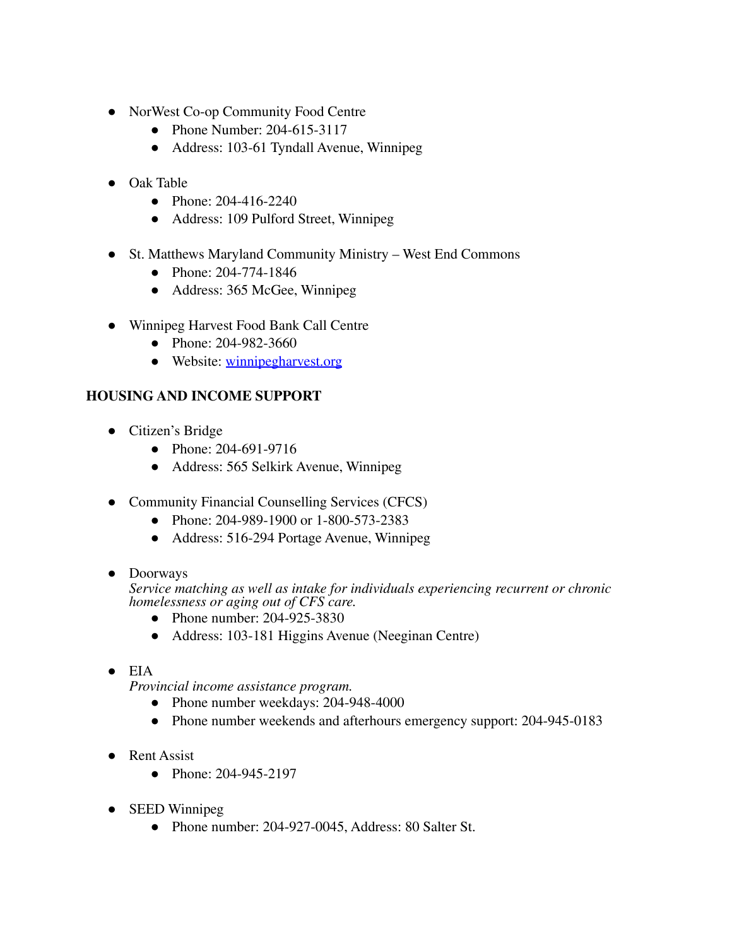- NorWest Co-op Community Food Centre
	- Phone Number: 204-615-3117
	- Address: 103-61 Tyndall Avenue, Winnipeg
- Oak Table
	- Phone: 204-416-2240
	- Address: 109 Pulford Street, Winnipeg
- St. Matthews Maryland Community Ministry West End Commons
	- Phone: 204-774-1846
	- Address: 365 McGee, Winnipeg
- Winnipeg Harvest Food Bank Call Centre
	- Phone: 204-982-3660
	- Website: [winnipegharvest.org](https://winnipegharvest.org)

#### **HOUSING AND INCOME SUPPORT**

- Citizen's Bridge
	- Phone: 204-691-9716
	- Address: 565 Selkirk Avenue, Winnipeg
- Community Financial Counselling Services (CFCS)
	- Phone: 204-989-1900 or 1-800-573-2383
	- Address: 516-294 Portage Avenue, Winnipeg
- Doorways

*Service matching as well as intake for individuals experiencing recurrent or chronic homelessness or aging out of CFS care.*

- Phone number: 204-925-3830
- Address: 103-181 Higgins Avenue (Neeginan Centre)
- $\bullet$  EIA

*Provincial income assistance program.*

- Phone number weekdays: 204-948-4000
- Phone number weekends and afterhours emergency support: 204-945-0183
- Rent Assist
	- Phone: 204-945-2197
- SEED Winnipeg
	- Phone number: 204-927-0045, Address: 80 Salter St.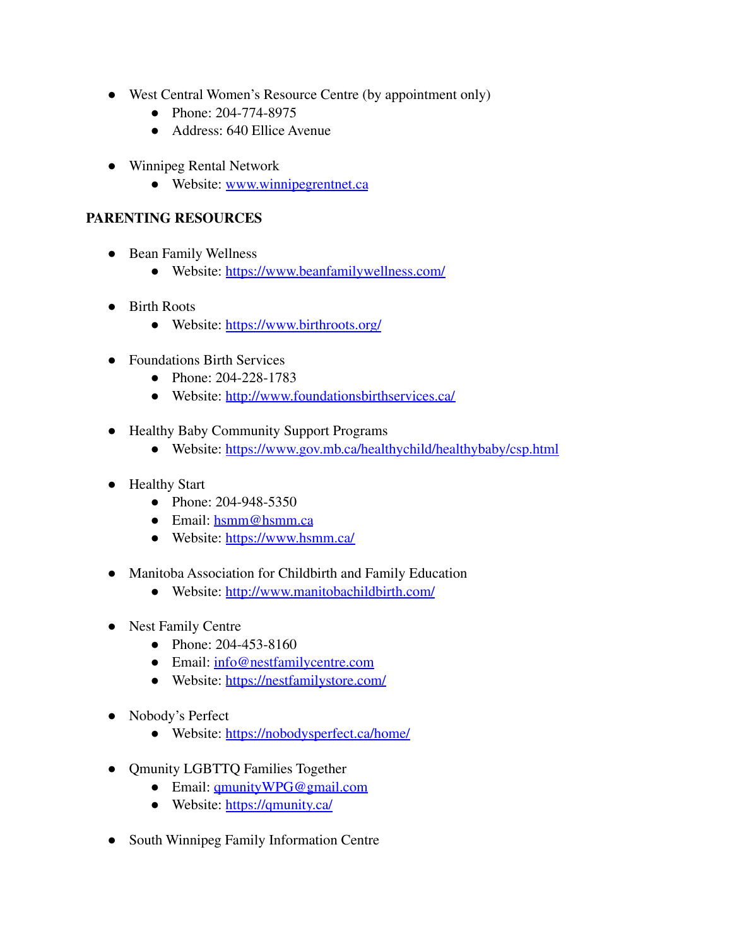- West Central Women's Resource Centre (by appointment only)
	- Phone: 204-774-8975
	- Address: 640 Ellice Avenue
- Winnipeg Rental Network
	- Website: [www.winnipegrentnet.ca](http://www.winnipegrentnet.ca/)

#### **PARENTING RESOURCES**

- Bean Family Wellness
	- Website: <https://www.beanfamilywellness.com/>
- Birth Roots
	- Website: <https://www.birthroots.org/>
- Foundations Birth Services
	- Phone: 204-228-1783
	- Website: <http://www.foundationsbirthservices.ca/>
- Healthy Baby Community Support Programs
	- Website: <https://www.gov.mb.ca/healthychild/healthybaby/csp.html>
- Healthy Start
	- Phone: 204-948-5350
	- Email: [hsmm@hsmm.ca](mailto:hsmm@hsmm.ca)
	- Website: <https://www.hsmm.ca/>
- Manitoba Association for Childbirth and Family Education
	- Website: <http://www.manitobachildbirth.com/>
- Nest Family Centre
	- Phone: 204-453-8160
	- Email: [info@nestfamilycentre.com](mailto:info@nestfamilycentre.com)
	- Website: <https://nestfamilystore.com/>
- Nobody's Perfect
	- Website: <https://nobodysperfect.ca/home/>
- Qmunity LGBTTQ Families Together
	- Email: [qmunityWPG@gmail.com](mailto:qmunityWPG@gmail.com)
	- Website: <https://qmunity.ca/>
- South Winnipeg Family Information Centre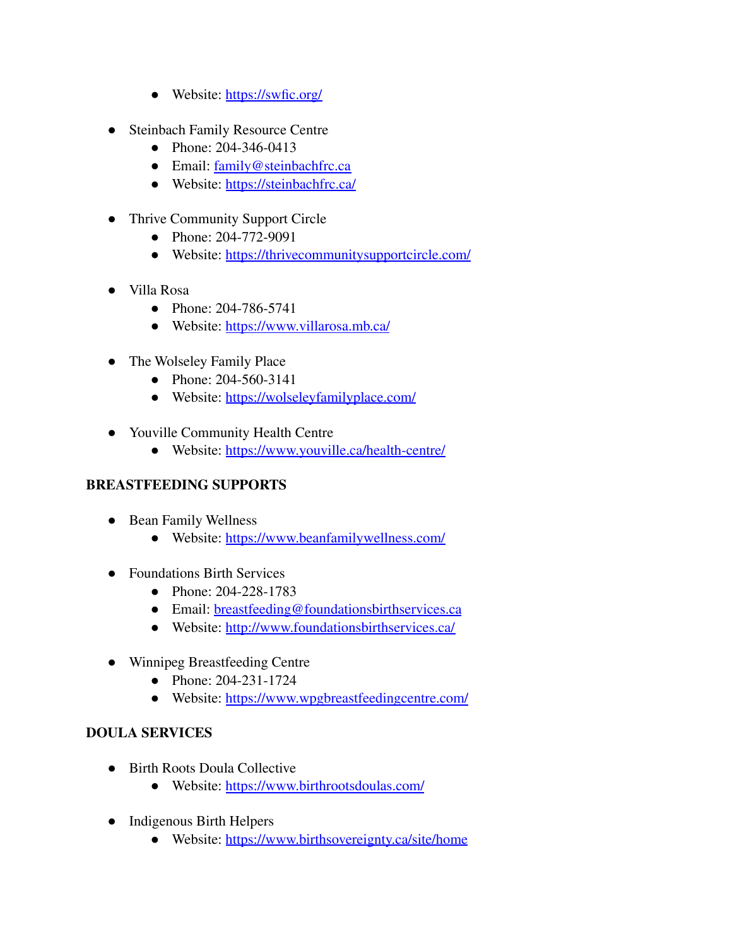- Website: <https://swfic.org/>
- Steinbach Family Resource Centre
	- Phone: 204-346-0413
	- Email: [family@steinbachfrc.ca](mailto:family@steinbachfrc.ca)
	- Website: <https://steinbachfrc.ca/>
- Thrive Community Support Circle
	- Phone: 204-772-9091
	- Website: <https://thrivecommunitysupportcircle.com/>
- Villa Rosa
	- Phone: 204-786-5741
	- Website: <https://www.villarosa.mb.ca/>
- The Wolseley Family Place
	- Phone: 204-560-3141
	- Website: <https://wolseleyfamilyplace.com/>
- Youville Community Health Centre
	- Website: <https://www.youville.ca/health-centre/>

#### **BREASTFEEDING SUPPORTS**

- Bean Family Wellness
	- Website: <https://www.beanfamilywellness.com/>
- Foundations Birth Services
	- Phone: 204-228-1783
	- Email: [breastfeeding@foundationsbirthservices.ca](mailto:breastfeeding@foundationsbirthservices.ca)
	- Website: <http://www.foundationsbirthservices.ca/>
- Winnipeg Breastfeeding Centre
	- Phone: 204-231-1724
	- Website: <https://www.wpgbreastfeedingcentre.com/>

#### **DOULA SERVICES**

- Birth Roots Doula Collective
	- Website: <https://www.birthrootsdoulas.com/>
- Indigenous Birth Helpers
	- Website: <https://www.birthsovereignty.ca/site/home>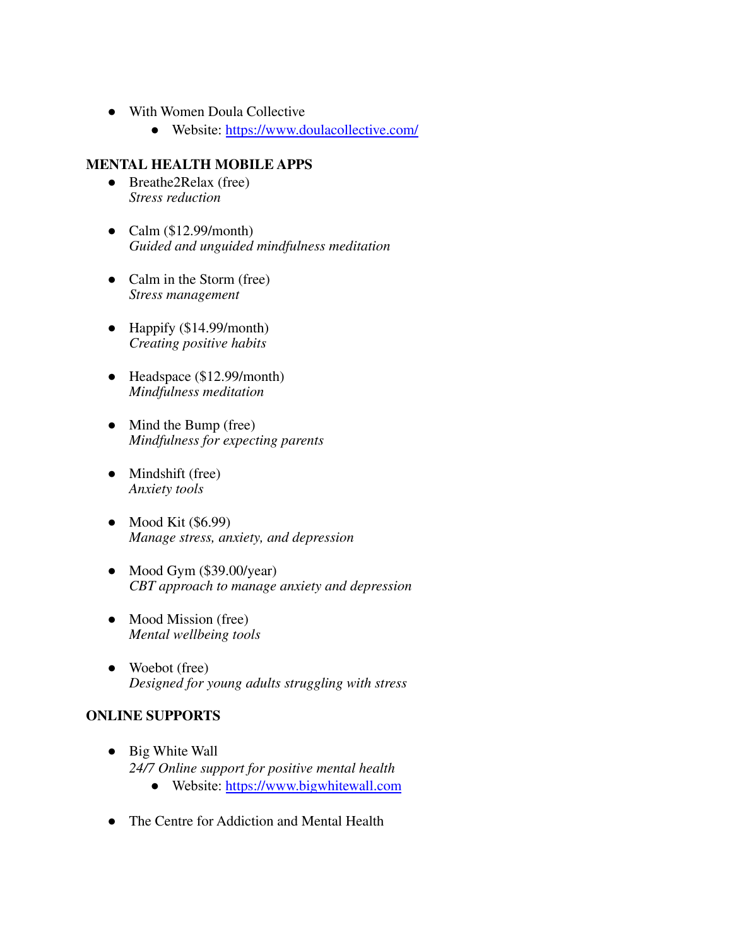- With Women Doula Collective
	- Website: <https://www.doulacollective.com/>

#### **MENTAL HEALTH MOBILE APPS**

- **●** Breathe2Relax (free) *Stress reduction*
- **●** Calm (\$12.99/month) *Guided and unguided mindfulness meditation*
- **●** Calm in the Storm (free) *Stress management*
- **●** Happify (\$14.99/month) *Creating positive habits*
- **●** Headspace (\$12.99/month) *Mindfulness meditation*
- **●** Mind the Bump (free) *Mindfulness for expecting parents*
- **●** Mindshift (free) *Anxiety tools*
- **●** Mood Kit (\$6.99) *Manage stress, anxiety, and depression*
- **●** Mood Gym (\$39.00/year) *CBT approach to manage anxiety and depression*
- **●** Mood Mission (free) *Mental wellbeing tools*
- **●** Woebot (free) *Designed for young adults struggling with stress*

#### **ONLINE SUPPORTS**

- **●** Big White Wall *24/7 Online support for positive mental health*
	- Website: <https://www.bigwhitewall.com>
- **●** The Centre for Addiction and Mental Health